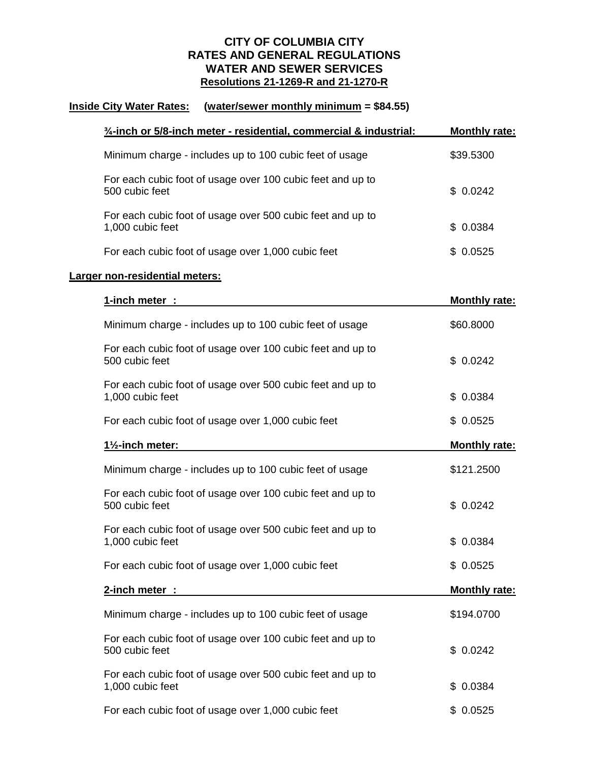## **CITY OF COLUMBIA CITY RATES AND GENERAL REGULATIONS WATER AND SEWER SERVICES Resolutions 21-1269-R and 21-1270-R**

## **Inside City Water Rates: (water/sewer monthly minimum = \$84.55)**

|                                | $\frac{3}{4}$ -inch or 5/8-inch meter - residential, commercial & industrial:  | <b>Monthly rate:</b> |  |  |  |
|--------------------------------|--------------------------------------------------------------------------------|----------------------|--|--|--|
|                                | Minimum charge - includes up to 100 cubic feet of usage                        | \$39.5300            |  |  |  |
|                                | For each cubic foot of usage over 100 cubic feet and up to<br>500 cubic feet   | \$0.0242             |  |  |  |
|                                | For each cubic foot of usage over 500 cubic feet and up to<br>1,000 cubic feet | \$0.0384             |  |  |  |
|                                | For each cubic foot of usage over 1,000 cubic feet                             | \$0.0525             |  |  |  |
| Larger non-residential meters: |                                                                                |                      |  |  |  |
|                                | 1-inch meter :                                                                 | <b>Monthly rate:</b> |  |  |  |
|                                | Minimum charge - includes up to 100 cubic feet of usage                        | \$60.8000            |  |  |  |
|                                | For each cubic foot of usage over 100 cubic feet and up to<br>500 cubic feet   | \$0.0242             |  |  |  |
|                                | For each cubic foot of usage over 500 cubic feet and up to<br>1,000 cubic feet | \$0.0384             |  |  |  |
|                                | For each cubic foot of usage over 1,000 cubic feet                             | \$0.0525             |  |  |  |
|                                | 11/ <sub>2</sub> -inch meter:                                                  | <b>Monthly rate:</b> |  |  |  |
|                                | Minimum charge - includes up to 100 cubic feet of usage                        | \$121.2500           |  |  |  |
|                                | For each cubic foot of usage over 100 cubic feet and up to<br>500 cubic feet   | \$0.0242             |  |  |  |
|                                | For each cubic foot of usage over 500 cubic feet and up to<br>1,000 cubic feet | \$0.0384             |  |  |  |
|                                | For each cubic foot of usage over 1,000 cubic feet                             | \$0.0525             |  |  |  |
|                                | 2-inch meter :                                                                 | <b>Monthly rate:</b> |  |  |  |
|                                | Minimum charge - includes up to 100 cubic feet of usage                        | \$194.0700           |  |  |  |
|                                | For each cubic foot of usage over 100 cubic feet and up to<br>500 cubic feet   | \$0.0242             |  |  |  |
|                                | For each cubic foot of usage over 500 cubic feet and up to<br>1,000 cubic feet | \$0.0384             |  |  |  |
|                                | For each cubic foot of usage over 1,000 cubic feet                             | \$0.0525             |  |  |  |